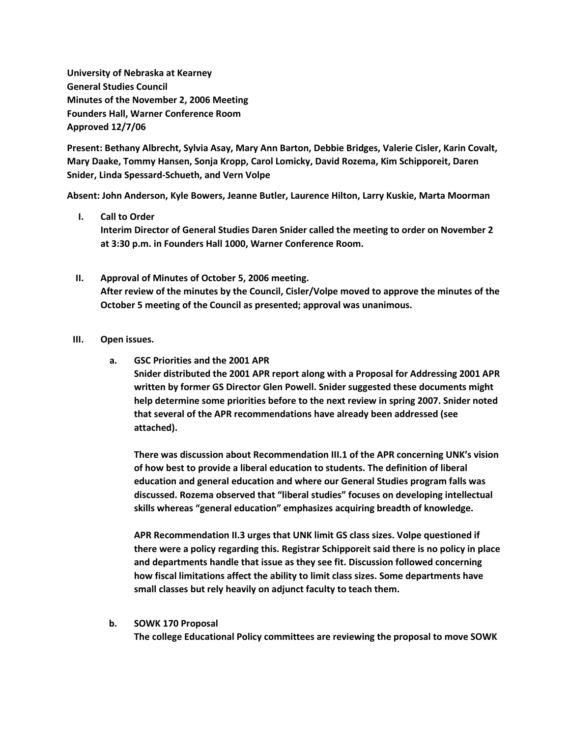**University of Nebraska at Kearney General Studies Council Minutes of the November 2, 2006 Meeting Founders Hall, Warner Conference Room Approved 12/7/06**

**Present: Bethany Albrecht, Sylvia Asay, Mary Ann Barton, Debbie Bridges, Valerie Cisler, Karin Covalt, Mary Daake, Tommy Hansen, Sonja Kropp, Carol Lomicky, David Rozema, Kim Schipporeit, Daren Snider, Linda Spessard-Schueth, and Vern Volpe**

**Absent: John Anderson, Kyle Bowers, Jeanne Butler, Laurence Hilton, Larry Kuskie, Marta Moorman**

- **I. Call to Order Interim Director of General Studies Daren Snider called the meeting to order on November 2 at 3:30 p.m. in Founders Hall 1000, Warner Conference Room.**
- **II. Approval of Minutes of October 5, 2006 meeting. After review of the minutes by the Council, Cisler/Volpe moved to approve the minutes of the October 5 meeting of the Council as presented; approval was unanimous.**

## **III. Open issues.**

**a. GSC Priorities and the 2001 APR**

**Snider distributed the 2001 APR report along with a Proposal for Addressing 2001 APR written by former GS Director Glen Powell. Snider suggested these documents might help determine some priorities before to the next review in spring 2007. Snider noted that several of the APR recommendations have already been addressed (see attached).**

**There was discussion about Recommendation III.1 of the APR concerning UNK's vision of how best to provide a liberal education to students. The definition of liberal education and general education and where our General Studies program falls was discussed. Rozema observed that "liberal studies" focuses on developing intellectual skills whereas "general education" emphasizes acquiring breadth of knowledge.**

**APR Recommendation II.3 urges that UNK limit GS class sizes. Volpe questioned if there were a policy regarding this. Registrar Schipporeit said there is no policy in place and departments handle that issue as they see fit. Discussion followed concerning how fiscal limitations affect the ability to limit class sizes. Some departments have small classes but rely heavily on adjunct faculty to teach them.**

## **b. SOWK 170 Proposal**

**The college Educational Policy committees are reviewing the proposal to move SOWK**